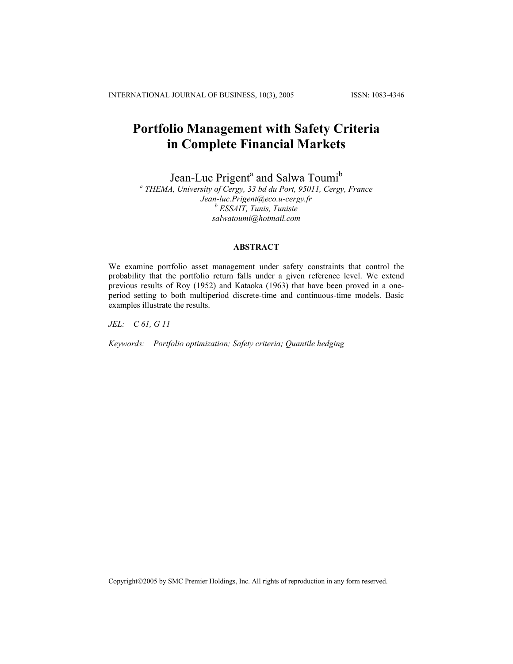INTERNATIONAL JOURNAL OF BUSINESS, 10(3), 2005 ISSN: 1083-4346

# **Portfolio Management with Safety Criteria in Complete Financial Markets**

Jean-Luc Prigent<sup>a</sup> and Salwa Toumi<sup>b</sup>

*a THEMA, University of Cergy, 33 bd du Port, 95011, Cergy, France Jean-luc.Prigent@eco.u-cergy.fr b ESSAIT, Tunis, Tunisie salwatoumi@hotmail.com* 

# **ABSTRACT**

We examine portfolio asset management under safety constraints that control the probability that the portfolio return falls under a given reference level. We extend previous results of Roy (1952) and Kataoka (1963) that have been proved in a oneperiod setting to both multiperiod discrete-time and continuous-time models. Basic examples illustrate the results.

*JEL: C 61, G 11* 

*Keywords: Portfolio optimization; Safety criteria; Quantile hedging*

Copyright©2005 by SMC Premier Holdings, Inc. All rights of reproduction in any form reserved.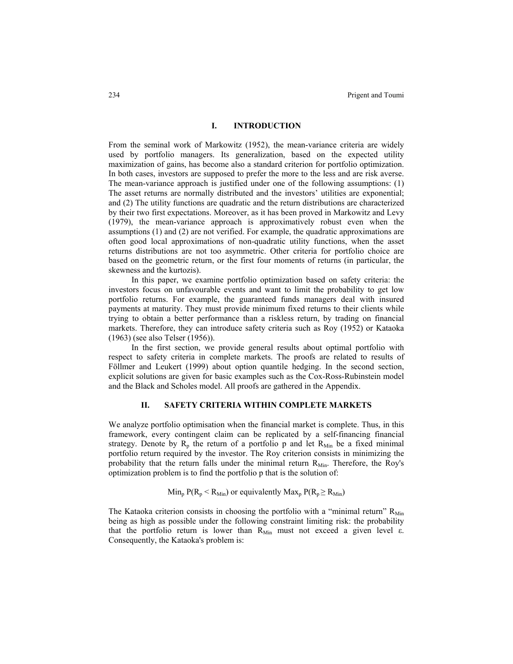#### **I. INTRODUCTION**

From the seminal work of Markowitz (1952), the mean-variance criteria are widely used by portfolio managers. Its generalization, based on the expected utility maximization of gains, has become also a standard criterion for portfolio optimization. In both cases, investors are supposed to prefer the more to the less and are risk averse. The mean-variance approach is justified under one of the following assumptions: (1) The asset returns are normally distributed and the investors' utilities are exponential; and (2) The utility functions are quadratic and the return distributions are characterized by their two first expectations. Moreover, as it has been proved in Markowitz and Levy (1979), the mean-variance approach is approximatively robust even when the assumptions (1) and (2) are not verified. For example, the quadratic approximations are often good local approximations of non-quadratic utility functions, when the asset returns distributions are not too asymmetric. Other criteria for portfolio choice are based on the geometric return, or the first four moments of returns (in particular, the skewness and the kurtozis).

In this paper, we examine portfolio optimization based on safety criteria: the investors focus on unfavourable events and want to limit the probability to get low portfolio returns. For example, the guaranteed funds managers deal with insured payments at maturity. They must provide minimum fixed returns to their clients while trying to obtain a better performance than a riskless return, by trading on financial markets. Therefore, they can introduce safety criteria such as Roy (1952) or Kataoka (1963) (see also Telser (1956)).

In the first section, we provide general results about optimal portfolio with respect to safety criteria in complete markets. The proofs are related to results of Föllmer and Leukert (1999) about option quantile hedging. In the second section, explicit solutions are given for basic examples such as the Cox-Ross-Rubinstein model and the Black and Scholes model. All proofs are gathered in the Appendix.

# **II. SAFETY CRITERIA WITHIN COMPLETE MARKETS**

We analyze portfolio optimisation when the financial market is complete. Thus, in this framework, every contingent claim can be replicated by a self-financing financial strategy. Denote by  $R_p$  the return of a portfolio p and let  $R_{Min}$  be a fixed minimal portfolio return required by the investor. The Roy criterion consists in minimizing the probability that the return falls under the minimal return  $R_{Min}$ . Therefore, the Roy's optimization problem is to find the portfolio p that is the solution of:

 $\text{Min}_{p} P(R_{p} < R_{\text{Min}})$  or equivalently  $\text{Max}_{p} P(R_{p} \geq R_{\text{Min}})$ 

The Kataoka criterion consists in choosing the portfolio with a "minimal return"  $R_{Min}$ being as high as possible under the following constraint limiting risk: the probability that the portfolio return is lower than  $R_{Min}$  must not exceed a given level  $\varepsilon$ . Consequently, the Kataoka's problem is: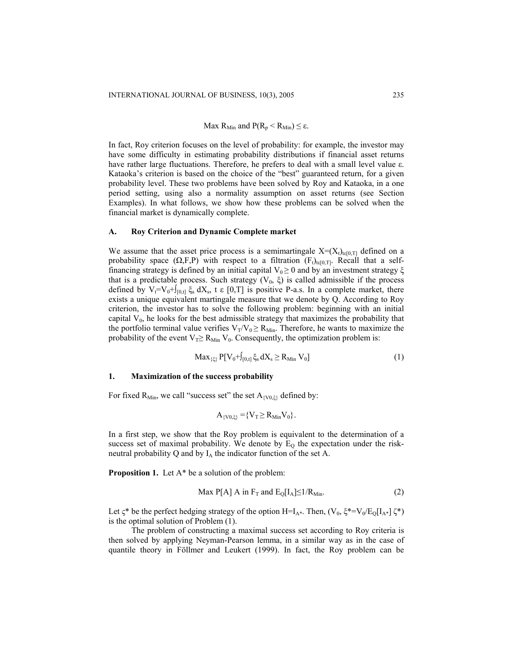# Max  $R_{Min}$  and  $P(R_p < R_{Min}) \leq \varepsilon$ .

In fact, Roy criterion focuses on the level of probability: for example, the investor may have some difficulty in estimating probability distributions if financial asset returns have rather large fluctuations. Therefore, he prefers to deal with a small level value ε. Kataoka's criterion is based on the choice of the "best" guaranteed return, for a given probability level. These two problems have been solved by Roy and Kataoka, in a one period setting, using also a normality assumption on asset returns (see Section Examples). In what follows, we show how these problems can be solved when the financial market is dynamically complete.

#### **A. Roy Criterion and Dynamic Complete market**

We assume that the asset price process is a semimartingale  $X=(X_t)_{t\in[0,T]}$  defined on a probability space  $(\Omega, F, P)$  with respect to a filtration  $(F_t)_{t \in [0,T]}$ . Recall that a selffinancing strategy is defined by an initial capital  $V_0 \ge 0$  and by an investment strategy  $\xi$ that is a predictable process. Such strategy  $(V_0, \xi)$  is called admissible if the process defined by  $V_t=V_0+[0,t]\xi_s dX_s$ , t ε [0,T] is positive P-a.s. In a complete market, there exists a unique equivalent martingale measure that we denote by Q. According to Roy criterion, the investor has to solve the following problem: beginning with an initial capital  $V_0$ , he looks for the best admissible strategy that maximizes the probability that the portfolio terminal value verifies  $V_T/V_0 \ge R_{Min}$ . Therefore, he wants to maximize the probability of the event  $V_T \ge R_{Min} V_0$ . Consequently, the optimization problem is:

$$
Max_{\{\xi\}} P[V_0 + J_{[0,t]} \xi_s dX_s \ge R_{Min} V_0]
$$
\n(1)

## **1. Maximization of the success probability**

For fixed R<sub>Min</sub>, we call "success set" the set  $A_{\{V0,\xi\}}$  defined by:

$$
A_{\{V0,\xi\}} = \{V_T \ge R_{Min} V_0\}.
$$

In a first step, we show that the Roy problem is equivalent to the determination of a success set of maximal probability. We denote by  $E<sub>O</sub>$  the expectation under the riskneutral probability Q and by  $I_A$  the indicator function of the set A.

**Proposition 1.** Let A\* be a solution of the problem:

$$
\text{Max } P[A] \text{ A in } F_T \text{ and } E_Q[I_A] \le 1/R_{\text{Min}}.\tag{2}
$$

Let  $\zeta^*$  be the perfect hedging strategy of the option H=I<sub>A\*</sub>. Then,  $(V_0, \xi^*=V_0/E_Q[I_{A^*}]\zeta^*)$ is the optimal solution of Problem (1).

The problem of constructing a maximal success set according to Roy criteria is then solved by applying Neyman-Pearson lemma, in a similar way as in the case of quantile theory in Föllmer and Leukert (1999). In fact, the Roy problem can be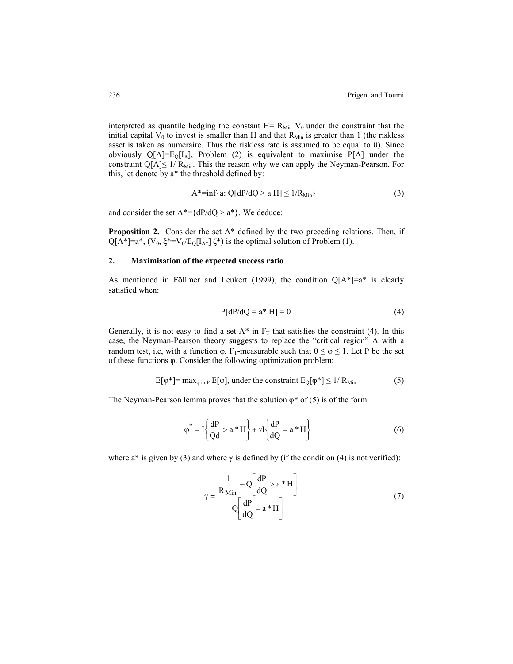interpreted as quantile hedging the constant  $H = R_{Min} V_0$  under the constraint that the initial capital  $V_0$  to invest is smaller than H and that  $R_{Min}$  is greater than 1 (the riskless asset is taken as numeraire. Thus the riskless rate is assumed to be equal to 0). Since obviously  $Q[A]=E_Q[I_A]$ , Problem (2) is equivalent to maximise P[A] under the constraint Q[A] $\leq$  1/ R<sub>Min</sub>. This the reason why we can apply the Neyman-Pearson. For this, let denote by a\* the threshold defined by:

$$
A^* = \inf\{a: Q[dP/dQ > a H] \le 1/R_{Min}\}\tag{3}
$$

and consider the set  $A^* = \{dP/dQ > a^*\}\$ . We deduce:

**Proposition 2.** Consider the set  $A^*$  defined by the two preceding relations. Then, if  $Q[A^*]=a^*, (V_0, \xi^*=V_0/E_0[I_{A^*}] \xi^*)$  is the optimal solution of Problem (1).

## **2. Maximisation of the expected success ratio**

As mentioned in Föllmer and Leukert (1999), the condition  $Q[A^*]=a^*$  is clearly satisfied when:

$$
P[dP/dQ = a^* H] = 0 \tag{4}
$$

Generally, it is not easy to find a set  $A^*$  in  $F_T$  that satisfies the constraint (4). In this case, the Neyman-Pearson theory suggests to replace the "critical region" A with a random test, i.e, with a function  $\varphi$ , F<sub>T</sub>-measurable such that  $0 \le \varphi \le 1$ . Let P be the set of these functions φ. Consider the following optimization problem:

$$
E[\varphi^*] = \max_{\varphi \text{ in } P} E[\varphi], \text{ under the constraint } E_0[\varphi^*] \le 1/R_{\text{Min}} \tag{5}
$$

The Neyman-Pearson lemma proves that the solution  $\varphi^*$  of (5) is of the form:

$$
\varphi^* = I \left\{ \frac{dP}{Qd} > a * H \right\} + \gamma I \left\{ \frac{dP}{dQ} = a * H \right\}
$$
 (6)

where a<sup>\*</sup> is given by (3) and where  $\gamma$  is defined by (if the condition (4) is not verified):

$$
\gamma = \frac{\frac{1}{R_{\text{Min}}} - Q \left[ \frac{dP}{dQ} > a * H \right]}{Q \left[ \frac{dP}{dQ} = a * H \right]}
$$
(7)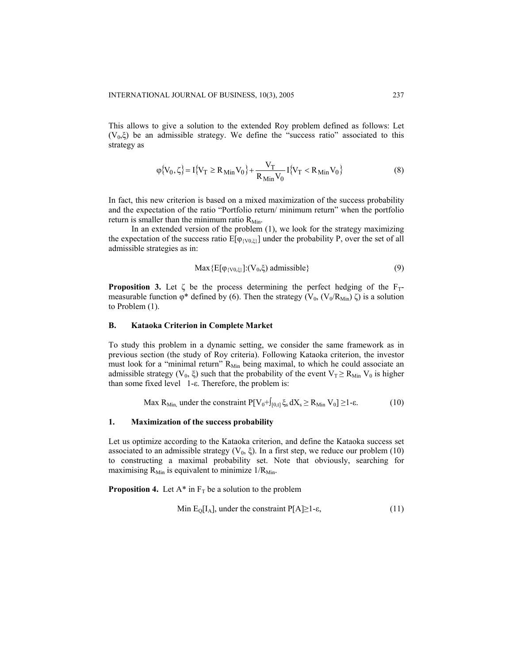This allows to give a solution to the extended Roy problem defined as follows: Let  $(V_0,\xi)$  be an admissible strategy. We define the "success ratio" associated to this strategy as

$$
\varphi\{V_0, \zeta\} = I\{V_T \ge R_{\text{Min}} V_0\} + \frac{V_T}{R_{\text{Min}} V_0} I\{V_T < R_{\text{Min}} V_0\} \tag{8}
$$

In fact, this new criterion is based on a mixed maximization of the success probability and the expectation of the ratio "Portfolio return/ minimum return" when the portfolio return is smaller than the minimum ratio  $R_{Min}$ .

In an extended version of the problem (1), we look for the strategy maximizing the expectation of the success ratio  $E[\varphi_{(V0,\xi)}]$  under the probability P, over the set of all admissible strategies as in:

$$
\text{Max} \{ \mathbf{E}[\varphi_{\{V0,\xi\}}] \cdot (V_0,\xi) \text{ admissible} \} \tag{9}
$$

**Proposition 3.** Let  $\zeta$  be the process determining the perfect hedging of the  $F_T$ measurable function  $\varphi^*$  defined by (6). Then the strategy (V<sub>0</sub>, (V<sub>0</sub>/R<sub>Min</sub>) ζ) is a solution to Problem (1).

## **B. Kataoka Criterion in Complete Market**

To study this problem in a dynamic setting, we consider the same framework as in previous section (the study of Roy criteria). Following Kataoka criterion, the investor must look for a "minimal return" R<sub>Min</sub> being maximal, to which he could associate an admissible strategy (V<sub>0</sub>,  $\xi$ ) such that the probability of the event V<sub>T</sub>  $\geq$  R<sub>Min</sub> V<sub>0</sub> is higher than some fixed level 1-ε. Therefore, the problem is:

$$
\text{Max } R_{\text{Min,}} \text{ under the constraint } P[V_0 + \int_{[0,t]} \xi_s \, dX_s \ge R_{\text{Min}} \, V_0] \ge 1-\epsilon. \tag{10}
$$

#### **1. Maximization of the success probability**

Let us optimize according to the Kataoka criterion, and define the Kataoka success set associated to an admissible strategy  $(V_0, \xi)$ . In a first step, we reduce our problem (10) to constructing a maximal probability set. Note that obviously, searching for maximising  $R_{Min}$  is equivalent to minimize  $1/R_{Min}$ .

**Proposition 4.** Let  $A^*$  in  $F_T$  be a solution to the problem

Min 
$$
E_Q[I_A]
$$
, under the constraint  $P[A] \ge 1-\epsilon$ , (11)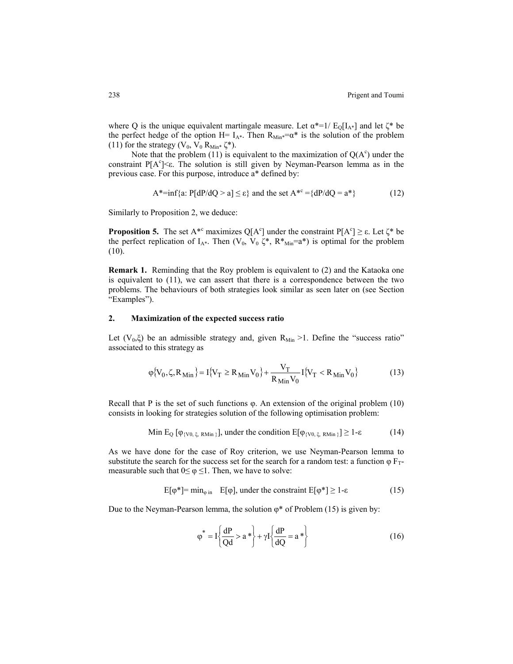where Q is the unique equivalent martingale measure. Let  $\alpha^{*}=1/E_{0}[I_{A^{*}}]$  and let  $\zeta^{*}$  be the perfect hedge of the option H=  $I_{A^*}$ . Then  $R_{Min^*} = \alpha^*$  is the solution of the problem (11) for the strategy ( $V_0$ ,  $V_0$   $R_{Min*}$   $\zeta^*$ ).

Note that the problem (11) is equivalent to the maximization of  $Q(A<sup>c</sup>)$  under the constraint  $P[A<sup>c</sup>] < \epsilon$ . The solution is still given by Neyman-Pearson lemma as in the previous case. For this purpose, introduce a\* defined by:

$$
A^* = \inf\{a: P[dP/dQ > a] \le \varepsilon\} \text{ and the set } A^{*c} = \{dP/dQ = a^*\}\tag{12}
$$

Similarly to Proposition 2, we deduce:

**Proposition 5.** The set  $A^{*c}$  maximizes  $Q[A^c]$  under the constraint  $P[A^c] \ge \varepsilon$ . Let  $\zeta^*$  be the perfect replication of  $I_{A^*}$ . Then  $(V_0, V_0 \zeta^*, R^*_{Min}=a^*)$  is optimal for the problem (10).

**Remark 1.** Reminding that the Roy problem is equivalent to (2) and the Kataoka one is equivalent to (11), we can assert that there is a correspondence between the two problems. The behaviours of both strategies look similar as seen later on (see Section "Examples").

# **2. Maximization of the expected success ratio**

Let  $(V_0,\xi)$  be an admissible strategy and, given  $R_{Min} > 1$ . Define the "success ratio" associated to this strategy as

$$
\varphi\{V_0, \zeta, R_{\text{Min}}\} = I\{V_T \ge R_{\text{Min}}V_0\} + \frac{V_T}{R_{\text{Min}}V_0} I\{V_T < R_{\text{Min}}V_0\} \tag{13}
$$

Recall that Ρ is the set of such functions φ. An extension of the original problem (10) consists in looking for strategies solution of the following optimisation problem:

Min E<sub>Q</sub> [
$$
\varphi_{\{V0,\xi, RMin\}}
$$
], under the condition E[ $\varphi_{\{V0,\xi, RMin\}}$ ]  $\geq$  1- $\varepsilon$  (14)

As we have done for the case of Roy criterion, we use Neyman-Pearson lemma to substitute the search for the success set for the search for a random test: a function  $\varphi F_T$ measurable such that  $0 \le \varphi \le 1$ . Then, we have to solve:

$$
E[\varphi^*] = \min_{\varphi \text{ in }} E[\varphi], \text{ under the constraint } E[\varphi^*] \ge 1-\epsilon \tag{15}
$$

Due to the Neyman-Pearson lemma, the solution  $\varphi^*$  of Problem (15) is given by:

$$
\varphi^* = I \left\{ \frac{dP}{Qd} > a^* \right\} + \gamma I \left\{ \frac{dP}{dQ} = a^* \right\} \tag{16}
$$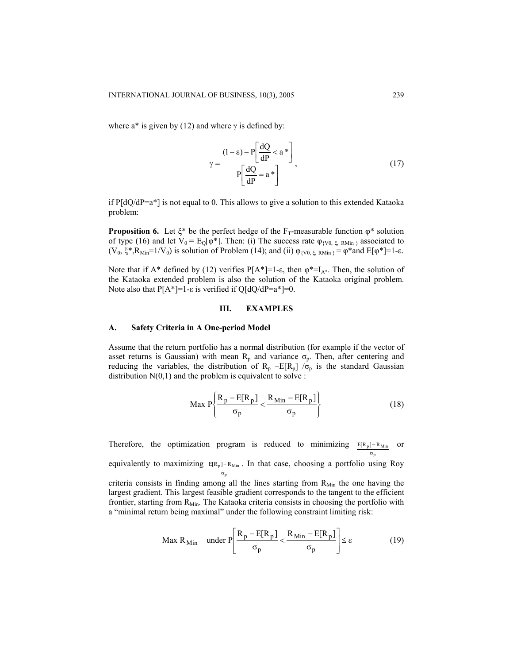where  $a^*$  is given by (12) and where  $\gamma$  is defined by:

$$
\gamma = \frac{(1 - \varepsilon) - P \left[ \frac{dQ}{dP} < a^* \right]}{P \left[ \frac{dQ}{dP} = a^* \right]},\tag{17}
$$

if  $P[dQ/dP=a^*]$  is not equal to 0. This allows to give a solution to this extended Kataoka problem:

**Proposition 6.** Let  $\xi^*$  be the perfect hedge of the F<sub>T</sub>-measurable function  $\varphi^*$  solution of type (16) and let  $V_0 = E_Q[\varphi^*]$ . Then: (i) The success rate  $\varphi_{\{V0, \xi, RMin\}}$  associated to (V<sub>0</sub>,  $\xi^*, R_{Min} = 1/V_0$ ) is solution of Problem (14); and (ii)  $\varphi_{\text{IV0},\xi}$ ,  $_{RMin} = \varphi^*$  and  $E[\varphi^*]=1-\varepsilon$ .

Note that if A\* defined by (12) verifies  $P[A^*]=1-\epsilon$ , then  $\varphi^*=\mathrm{I}_{A^*}$ . Then, the solution of the Kataoka extended problem is also the solution of the Kataoka original problem. Note also that  $P[A^*]=1-\varepsilon$  is verified if  $Q[dQ/dP=a^*]=0$ .

# **III. EXAMPLES**

# **A. Safety Criteria in A One-period Model**

Assume that the return portfolio has a normal distribution (for example if the vector of asset returns is Gaussian) with mean  $R_p$  and variance  $\sigma_p$ . Then, after centering and reducing the variables, the distribution of  $R_p$  –E[ $R_p$ ] / $\sigma_p$  is the standard Gaussian distribution  $N(0,1)$  and the problem is equivalent to solve :

$$
\text{Max } P\left\{\frac{R_p - E[R_p]}{\sigma_p} < \frac{R_{\text{Min}} - E[R_p]}{\sigma_p}\right\} \tag{18}
$$

Therefore, the optimization program is reduced to minimizing  $E[R_p] - R_{Min}$  or p σ

equivalently to maximizing  $E[R_p] - R_{Min}$ . In that case, choosing a portfolio using Roy p σ

criteria consists in finding among all the lines starting from  $R_{Min}$  the one having the largest gradient. This largest feasible gradient corresponds to the tangent to the efficient frontier, starting from  $R_{Min}$ . The Kataoka criteria consists in choosing the portfolio with a "minimal return being maximal" under the following constraint limiting risk:

$$
\text{Max } R_{\text{Min}} \quad \text{under } P \left[ \frac{R_p - E[R_p]}{\sigma_p} < \frac{R_{\text{Min}} - E[R_p]}{\sigma_p} \right] \le \varepsilon \tag{19}
$$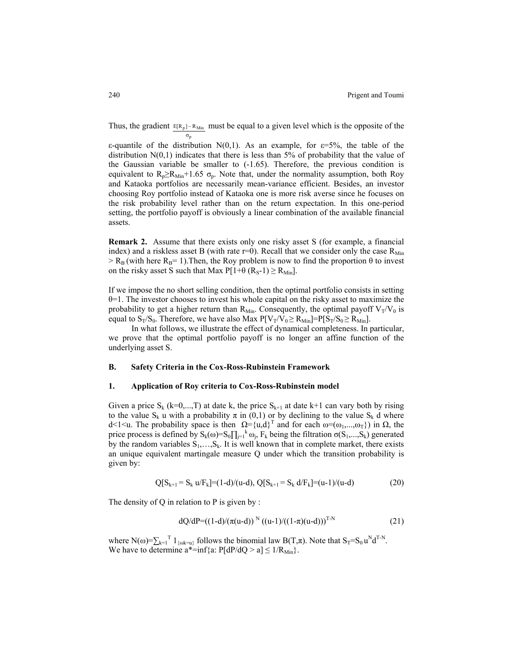Thus, the gradient  $E[R_p] - R_{Min}$  must be equal to a given level which is the opposite of the p σ

ε-quantile of the distribution N(0,1). As an example, for ε=5%, the table of the distribution  $N(0,1)$  indicates that there is less than 5% of probability that the value of the Gaussian variable be smaller to  $(-1.65)$ . Therefore, the previous condition is equivalent to  $R_p \ge R_{\text{Min}} + 1.65 \sigma_p$ . Note that, under the normality assumption, both Roy and Kataoka portfolios are necessarily mean-variance efficient. Besides, an investor choosing Roy portfolio instead of Kataoka one is more risk averse since he focuses on the risk probability level rather than on the return expectation. In this one-period setting, the portfolio payoff is obviously a linear combination of the available financial assets.

**Remark 2.** Assume that there exists only one risky asset S (for example, a financial index) and a riskless asset B (with rate  $r=0$ ). Recall that we consider only the case  $R_{Min}$  $>$  R<sub>B</sub> (with here R<sub>B</sub>= 1). Then, the Roy problem is now to find the proportion  $\theta$  to invest on the risky asset S such that Max  $P[1+\theta (R_S-1) \ge R_{Min}].$ 

If we impose the no short selling condition, then the optimal portfolio consists in setting  $\theta$ =1. The investor chooses to invest his whole capital on the risky asset to maximize the probability to get a higher return than  $R_{Min}$ . Consequently, the optimal payoff  $V_T/V_0$  is equal to  $S_T/S_0$ . Therefore, we have also Max  $P[V_T/V_0 \ge R_{Min}] = P[S_T/S_0 \ge R_{Min}]$ .

In what follows, we illustrate the effect of dynamical completeness. In particular, we prove that the optimal portfolio payoff is no longer an affine function of the underlying asset S.

#### **B. Safety Criteria in the Cox-Ross-Rubinstein Framework**

#### **1. Application of Roy criteria to Cox-Ross-Rubinstein model**

Given a price  $S_k$  (k=0,...,T) at date k, the price  $S_{k+1}$  at date k+1 can vary both by rising to the value S<sub>k</sub> u with a probability  $\pi$  in (0,1) or by declining to the value S<sub>k</sub> d where d<1<u. The probability space is then  $\Omega = \{u,d\}^T$  and for each  $\omega = (\omega_1,...,\omega_T\})$  in  $\Omega$ , the price process is defined by  $S_k(\omega) = S_0 \prod_{j=1}^k \omega_j$ ,  $F_k$  being the filtration  $\sigma(S_1,...,S_k)$  generated by the random variables  $S_1, \ldots, S_k$ . It is well known that in complete market, there exists an unique equivalent martingale measure Q under which the transition probability is given by:

$$
Q[S_{k+1} = S_k u / F_k] = (1-d)/(u-d), Q[S_{k+1} = S_k d / F_k] = (u-1)/(u-d)
$$
\n(20)

The density of  $Q$  in relation to  $P$  is given by :

$$
dQ/dP = ((1-d)/(\pi(u-d))^N ((u-1)/((1-\pi)(u-d)))^{T-N}
$$
\n(21)

where  $N(\omega) = \sum_{k=1}^{T} 1_{\{\omega k = u\}}$  follows the binomial law  $B(T,\pi)$ . Note that  $S_T = S_0 u^N d^{T-N}$ . We have to determine  $a^*$ =inf{a: P[dP/dO > a]  $\leq 1/R_{\text{Min}}$ .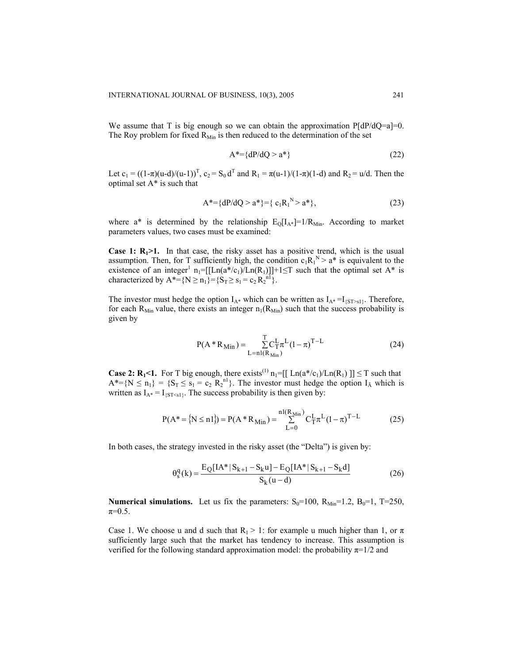We assume that T is big enough so we can obtain the approximation  $P[dP/dQ=a]=0$ . The Roy problem for fixed  $R_{Min}$  is then reduced to the determination of the set

$$
A^* = \{dP/dQ > a^*\}\tag{22}
$$

Let  $c_1 = ((1-\pi)(u-d)/(u-1))^T$ ,  $c_2 = S_0 d^T$  and  $R_1 = \pi(u-1)/(1-\pi)(1-d)$  and  $R_2 = u/d$ . Then the optimal set A\* is such that

$$
A^* = \{dP/dQ > a^*\} = \{c_1R_1^N > a^*\},\tag{23}
$$

where a\* is determined by the relationship  $E_{Q}[I_{A*}]=1/R_{Min}$ . According to market parameters values, two cases must be examined:

**Case 1: R<sub>1</sub>>1.** In that case, the risky asset has a positive trend, which is the usual assumption. Then, for T sufficiently high, the condition  $c_1R_1^N > a^*$  is equivalent to the existence of an integer<sup>1</sup>  $n_1 = [[Ln(a^*/c_1)/Ln(R_1)]]+1 \leq T$  such that the optimal set A<sup>\*</sup> is characterized by  $A^* = \{N \ge n_1\} = \{S_T \ge s_1 = c_2 R_2^{n_1}\}.$ 

The investor must hedge the option  $I_{A^*}$  which can be written as  $I_{A^*} = I_{\{S T > s1\}}$ . Therefore, for each R<sub>Min</sub> value, there exists an integer  $n_1(R_{Min})$  such that the success probability is given by

$$
P(A * R_{Min}) = \sum_{L=nI(R_{Min})}^{T} C_{T}^{L} \pi^{L} (1 - \pi)^{T - L}
$$
 (24)

**Case 2: R<sub>1</sub><1.** For T big enough, there exists<sup>(1)</sup>  $n_1 = [[\text{Ln}(a^*/c_1)/\text{Ln}(R_1)] \leq T$  such that  $A^* = \{N \le n_1\} = \{S_T \le s_1 = c_2 \ R_2^{n_1}\}\.$  The investor must hedge the option  $I_A$  which is written as  $I_{A^*} = I_{\{ST \leq s1\}}$ . The success probability is then given by:

$$
P(A^* = \{ N \le n1 \}) = P(A^* R_{Min}) = \sum_{L=0}^{n1(R_{Min})} C_T^L \pi^L (1 - \pi)^{T - L}
$$
(25)

In both cases, the strategy invested in the risky asset (the "Delta") is given by:

$$
\theta_{s}^{q}(k) = \frac{E_{Q}[IA^{*}|S_{k+1} - S_{k}u] - E_{Q}[IA^{*}|S_{k+1} - S_{k}d]}{S_{k}(u - d)}
$$
(26)

**Numerical simulations.** Let us fix the parameters:  $S_0=100$ ,  $R_{Min}=1.2$ ,  $B_0=1$ , T=250,  $\pi=0.5$ .

Case 1. We choose u and d such that  $R_1 > 1$ : for example u much higher than 1, or  $\pi$ sufficiently large such that the market has tendency to increase. This assumption is verified for the following standard approximation model: the probability  $\pi=1/2$  and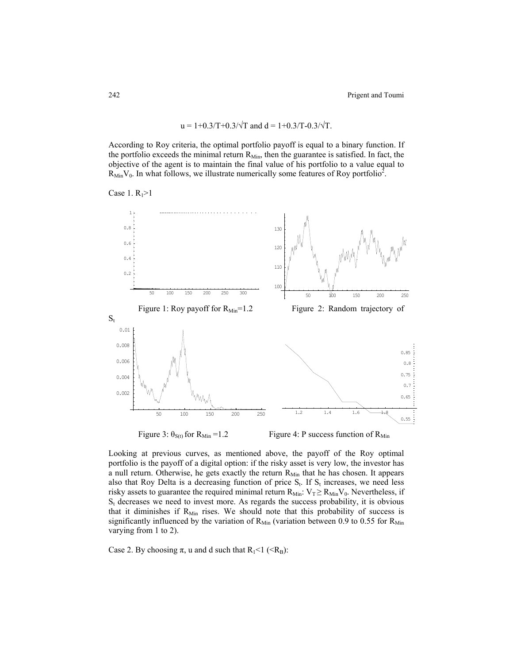$$
u = 1+0.3/T+0.3/\sqrt{T}
$$
 and  $d = 1+0.3/T-0.3/\sqrt{T}$ .

According to Roy criteria, the optimal portfolio payoff is equal to a binary function. If the portfolio exceeds the minimal return  $R_{Min}$ , then the guarantee is satisfied. In fact, the objective of the agent is to maintain the final value of his portfolio to a value equal to  $R_{Min}V_0$ . In what follows, we illustrate numerically some features of Roy portfolio<sup>2</sup>.



Figure 3:  $\theta_{S(t)}$  for  $R_{Min} = 1.2$  Figure 4: P success function of  $R_{Min}$ 

Looking at previous curves, as mentioned above, the payoff of the Roy optimal portfolio is the payoff of a digital option: if the risky asset is very low, the investor has a null return. Otherwise, he gets exactly the return  $R_{Min}$  that he has chosen. It appears also that Roy Delta is a decreasing function of price  $S_t$ . If  $S_t$  increases, we need less risky assets to guarantee the required minimal return  $R_{Min}: V_T \ge R_{Min} V_0$ . Nevertheless, if  $S_t$  decreases we need to invest more. As regards the success probability, it is obvious that it diminishes if  $R_{Min}$  rises. We should note that this probability of success is significantly influenced by the variation of  $R_{Min}$  (variation between 0.9 to 0.55 for  $R_{Min}$ varying from 1 to 2).

Case 2. By choosing  $\pi$ , u and d such that R<sub>1</sub><1 (<R<sub>B</sub>):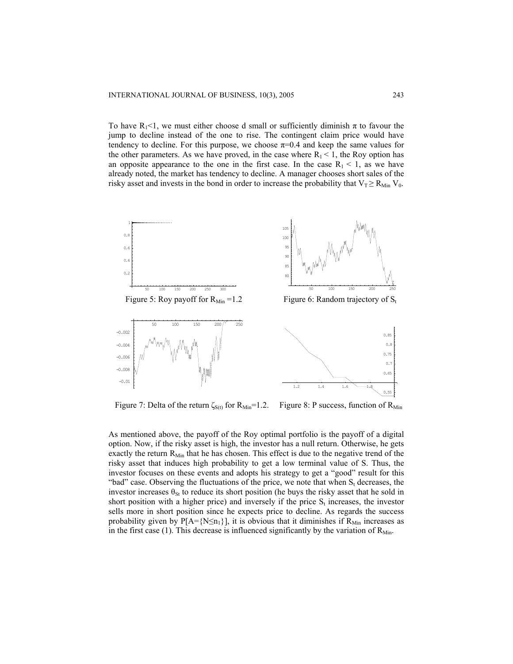To have  $R_1 < 1$ , we must either choose d small or sufficiently diminish  $\pi$  to favour the jump to decline instead of the one to rise. The contingent claim price would have tendency to decline. For this purpose, we choose  $\pi=0.4$  and keep the same values for the other parameters. As we have proved, in the case where  $R_1 < 1$ , the Roy option has an opposite appearance to the one in the first case. In the case  $R_1 < 1$ , as we have already noted, the market has tendency to decline. A manager chooses short sales of the risky asset and invests in the bond in order to increase the probability that  $V_T \ge R_{\text{Min}} V_0$ .



Figure 7: Delta of the return  $\zeta_{S(t)}$  for  $R_{Min} = 1.2$ . Figure 8: P success, function of  $R_{Min}$ 

As mentioned above, the payoff of the Roy optimal portfolio is the payoff of a digital option. Now, if the risky asset is high, the investor has a null return. Otherwise, he gets exactly the return  $R_{Min}$  that he has chosen. This effect is due to the negative trend of the risky asset that induces high probability to get a low terminal value of S. Thus, the investor focuses on these events and adopts his strategy to get a "good" result for this "bad" case. Observing the fluctuations of the price, we note that when  $S_t$  decreases, the investor increases  $\theta_{St}$  to reduce its short position (he buys the risky asset that he sold in short position with a higher price) and inversely if the price  $S_t$  increases, the investor sells more in short position since he expects price to decline. As regards the success probability given by  $P[A=\{N\leq n_1\}]$ , it is obvious that it diminishes if  $R_{Min}$  increases as in the first case (1). This decrease is influenced significantly by the variation of  $R_{Min}$ .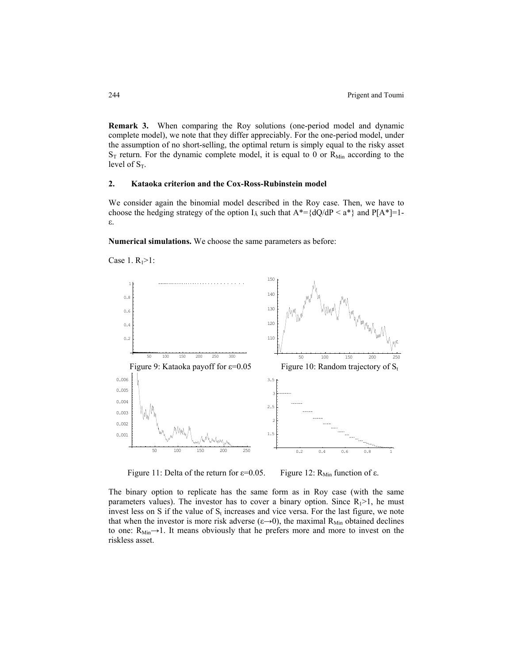**Remark 3.** When comparing the Roy solutions (one-period model and dynamic complete model), we note that they differ appreciably. For the one-period model, under the assumption of no short-selling, the optimal return is simply equal to the risky asset  $S_T$  return. For the dynamic complete model, it is equal to 0 or  $R_{Min}$  according to the level of  $S_T$ .

#### **2. Kataoka criterion and the Cox-Ross-Rubinstein model**

We consider again the binomial model described in the Roy case. Then, we have to choose the hedging strategy of the option  $I_A$  such that  $A^* = \{dQ/dP \le a^*\}\$  and  $P[A^*]=1$ ε.

**Numerical simulations.** We choose the same parameters as before:



Case 1.  $R_1 > 1$ :

Figure 11: Delta of the return for  $\varepsilon$ =0.05. Figure 12: R<sub>Min</sub> function of  $\varepsilon$ .

The binary option to replicate has the same form as in Roy case (with the same parameters values). The investor has to cover a binary option. Since  $R_1 > 1$ , he must invest less on S if the value of  $S_t$  increases and vice versa. For the last figure, we note that when the investor is more risk adverse ( $\varepsilon \rightarrow 0$ ), the maximal R<sub>Min</sub> obtained declines to one:  $R_{Min} \rightarrow 1$ . It means obviously that he prefers more and more to invest on the riskless asset.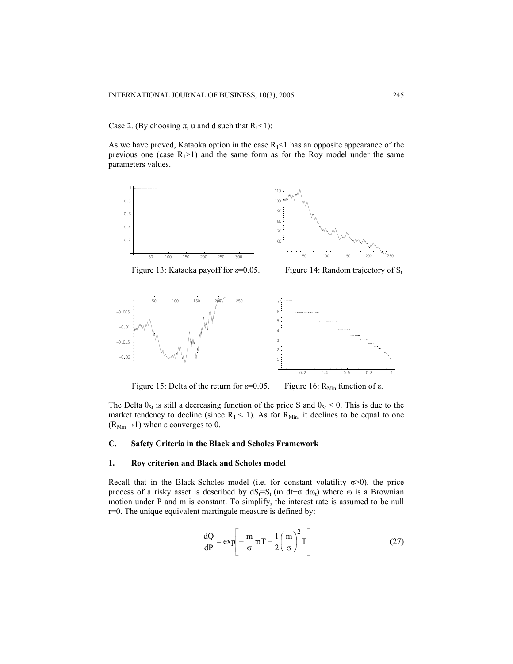Case 2. (By choosing  $\pi$ , u and d such that  $R_1$ <1):

As we have proved, Kataoka option in the case  $R_1 < 1$  has an opposite appearance of the previous one (case  $R_1>1$ ) and the same form as for the Roy model under the same parameters values.





Figure 13: Kataoka payoff for  $\varepsilon$ =0.05. Figure 14: Random trajectory of S<sub>t</sub>





Figure 15: Delta of the return for  $\varepsilon$ =0.05. Figure 16: R<sub>Min</sub> function of  $\varepsilon$ .

The Delta  $\theta_{St}$  is still a decreasing function of the price S and  $\theta_{St}$  < 0. This is due to the market tendency to decline (since  $R_1 < 1$ ). As for  $R_{Min}$ , it declines to be equal to one  $(R_{Min} \rightarrow 1)$  when  $\varepsilon$  converges to 0.

# **C. Safety Criteria in the Black and Scholes Framework**

# **1. Roy criterion and Black and Scholes model**

Recall that in the Black-Scholes model (i.e. for constant volatility  $\sigma$ >0), the price process of a risky asset is described by  $dS_t=S_t$  (m dt+ $\sigma$  d $\omega_t$ ) where  $\omega$  is a Brownian motion under P and m is constant. To simplify, the interest rate is assumed to be null r=0. The unique equivalent martingale measure is defined by:

$$
\frac{dQ}{dP} = \exp\left[-\frac{m}{\sigma}\varpi T - \frac{1}{2}\left(\frac{m}{\sigma}\right)^2 T\right]
$$
 (27)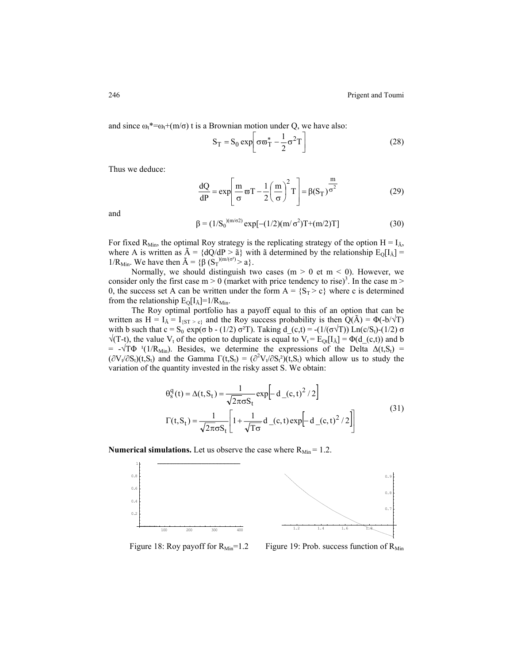and since  $\omega_t^* = \omega_t + (m/\sigma)$  t is a Brownian motion under Q, we have also:

$$
S_T = S_0 \exp\left[\sigma \overline{\omega}_T^* - \frac{1}{2} \sigma^2 T\right]
$$
 (28)

Thus we deduce:

$$
\frac{dQ}{dP} = \exp\left[\frac{m}{\sigma}\varpi T - \frac{1}{2}\left(\frac{m}{\sigma}\right)^2 T\right] = \beta(S_T)^{\frac{m}{\sigma^2}}
$$
(29)

and

$$
\beta = (1/S_0)^{(m/\sigma^2)} \exp[-(1/2)(m/\sigma^2)T + (m/2)T] \tag{30}
$$

For fixed R<sub>Min</sub>, the optimal Roy strategy is the replicating strategy of the option  $H = I_A$ , where A is written as  $\tilde{A} = \{dQ/dP > \tilde{a}\}\$  with  $\tilde{a}$  determined by the relationship  $E_0[I_{\tilde{A}}] =$ 1/R<sub>Min</sub>. We have then  $\tilde{A} = {\hat{\beta}} (S_T)^{(m/(\sigma^2)} > a)$ .

Normally, we should distinguish two cases  $(m > 0$  et  $m < 0$ ). However, we consider only the first case  $m > 0$  (market with price tendency to rise)<sup>3</sup>. In the case  $m > 0$ 0, the success set A can be written under the form  $A = \{S_T > c\}$  where c is determined from the relationship  $E_Q[I_{\rm \tilde{A}}] = 1/R_{\rm Min}$ .

The Roy optimal portfolio has a payoff equal to this of an option that can be written as H =  $I_{\tilde{A}} = I_{\{ST > c\}}$  and the Roy success probability is then Q(A) =  $\Phi(-b/\sqrt{T})$ with b such that c = S<sub>0</sub> exp(σ b - (1/2) σ<sup>2</sup>T). Taking d\_(c,t) = -(1/(σ $\sqrt{T}$ )) Ln(c/S<sub>t</sub>)-(1/2) σ  $\sqrt{(T-t)}$ , the value  $V_t$  of the option to duplicate is equal to  $V_t = E_{Qt}[I_A] = \Phi(d_c(t))$  and b = -√TΦ <sup>1</sup>(1/R<sub>Min</sub>). Besides, we determine the expressions of the Delta  $\Delta(t,S_t)$  =  $(\partial V_t/\partial S_t)(t, S_t)$  and the Gamma  $\Gamma(t, S_t) = (\partial^2 V_t/\partial S_t^2)(t, S_t)$  which allow us to study the variation of the quantity invested in the risky asset S. We obtain:

$$
\theta_{s}^{q}(t) = \Delta(t, S_{t}) = \frac{1}{\sqrt{2\pi}\sigma S_{t}} \exp\left[-d_{(c, t)}^{2}/2\right]
$$
  

$$
\Gamma(t, S_{t}) = \frac{1}{\sqrt{2\pi}\sigma S_{t}} \left[1 + \frac{1}{\sqrt{T\sigma}} d_{(c, t)} \exp\left[-d_{(c, t)}^{2}/2\right]\right]
$$
(31)

**Numerical simulations.** Let us observe the case where  $R_{Min} = 1.2$ .



Figure 18: Roy payoff for  $R_{Min} = 1.2$  Figure 19: Prob. success function of  $R_{Min}$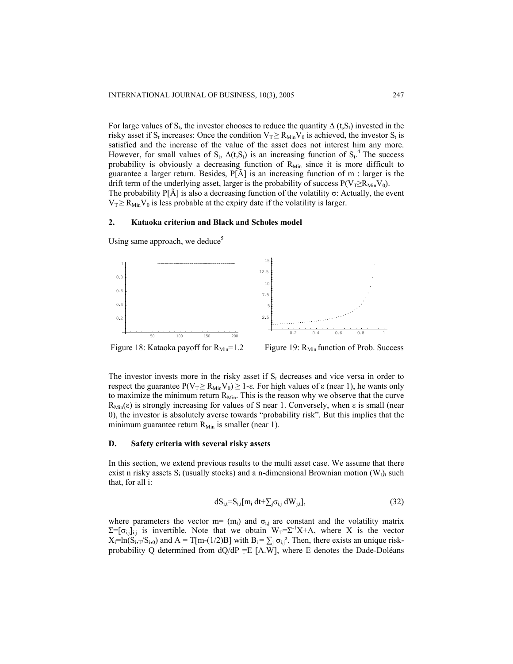For large values of S<sub>t</sub>, the investor chooses to reduce the quantity  $\Delta(t, S_t)$  invested in the risky asset if S<sub>t</sub> increases: Once the condition  $V_T \ge R_{Min} V_0$  is achieved, the investor S<sub>t</sub> is satisfied and the increase of the value of the asset does not interest him any more. However, for small values of  $S_t$ ,  $\Delta(t, S_t)$  is an increasing function of  $S_t$ <sup>4</sup>. The success probability is obviously a decreasing function of  $R_{Min}$  since it is more difficult to guarantee a larger return. Besides,  $P[\tilde{A}]$  is an increasing function of m : larger is the drift term of the underlying asset, larger is the probability of success  $P(V_T \ge R_{Min}V_0)$ . The probability  $P[\tilde{A}]$  is also a decreasing function of the volatility  $\sigma$ : Actually, the event  $V_T \ge R_{\text{Min}} V_0$  is less probable at the expiry date if the volatility is larger.

# **2. Kataoka criterion and Black and Scholes model**



Using same approach, we deduce<sup>5</sup>

Figure 18: Kataoka payoff for  $R_{Min} = 1.2$  Figure 19:  $R_{Min}$  function of Prob. Success

The investor invests more in the risky asset if  $S_t$  decreases and vice versa in order to respect the guarantee  $P(V_T \ge R_{Min} V_0) \ge 1$ -ε. For high values of ε (near 1), he wants only to maximize the minimum return  $R_{Min}$ . This is the reason why we observe that the curve R<sub>Min</sub> $(\varepsilon)$  is strongly increasing for values of S near 1. Conversely, when  $\varepsilon$  is small (near 0), the investor is absolutely averse towards "probability risk". But this implies that the minimum guarantee return  $R_{Min}$  is smaller (near 1).

## **D. Safety criteria with several risky assets**

In this section, we extend previous results to the multi asset case. We assume that there exist n risky assets  $S_i$  (usually stocks) and a n-dimensional Brownian motion  $(W_t)$ <sub>t</sub> such that, for all i:

$$
dS_{i,t} = S_{i,t}[m_i dt + \sum_j \sigma_{i,j} dW_{j,t}], \qquad (32)
$$

where parameters the vector m=  $(m_i)$  and  $\sigma_{i,j}$  are constant and the volatility matrix  $\Sigma = [\sigma_{i,j}]_{i,j}$  is invertible. Note that we obtain  $W_T = \Sigma^{-1}X + A$ , where X is the vector  $X_i=ln(S_{i,T}/S_{i,0})$  and  $A = T[m-(1/2)B]$  with  $B_i = \sum_j \sigma_{i,j}^2$ . Then, there exists an unique riskprobability Q determined from  $dQ/dP = E \left[ \Lambda W \right]$ , where E denotes the Dade-Doléans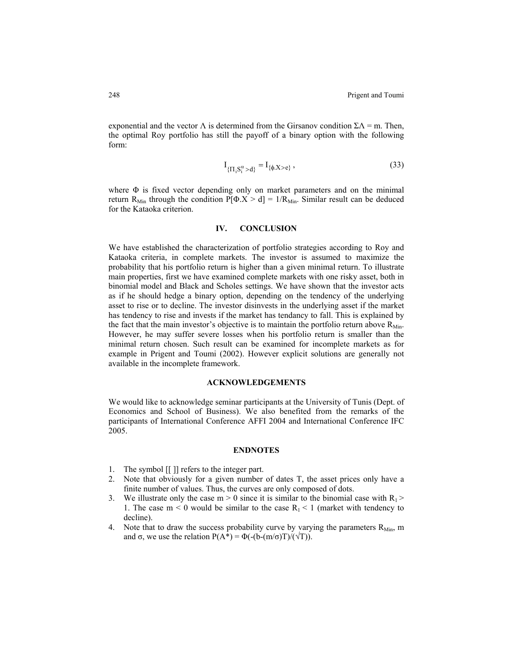exponential and the vector Λ is determined from the Girsanov condition  $\Sigma \Lambda$  = m. Then, the optimal Roy portfolio has still the payoff of a binary option with the following form:

$$
I_{\{\Pi_i S_i^{\alpha} > d\}} = I_{\{\phi, X > e\}},
$$
\n(33)

where Φ is fixed vector depending only on market parameters and on the minimal return R<sub>Min</sub> through the condition P[ $\Phi$ .X > d] = 1/R<sub>Min</sub>. Similar result can be deduced for the Kataoka criterion.

## **IV. CONCLUSION**

We have established the characterization of portfolio strategies according to Roy and Kataoka criteria, in complete markets. The investor is assumed to maximize the probability that his portfolio return is higher than a given minimal return. To illustrate main properties, first we have examined complete markets with one risky asset, both in binomial model and Black and Scholes settings. We have shown that the investor acts as if he should hedge a binary option, depending on the tendency of the underlying asset to rise or to decline. The investor disinvests in the underlying asset if the market has tendency to rise and invests if the market has tendancy to fall. This is explained by the fact that the main investor's objective is to maintain the portfolio return above  $R_{Min}$ . However, he may suffer severe losses when his portfolio return is smaller than the minimal return chosen. Such result can be examined for incomplete markets as for example in Prigent and Toumi (2002). However explicit solutions are generally not available in the incomplete framework.

## **ACKNOWLEDGEMENTS**

We would like to acknowledge seminar participants at the University of Tunis (Dept. of Economics and School of Business). We also benefited from the remarks of the participants of International Conference AFFI 2004 and International Conference IFC 2005.

#### **ENDNOTES**

- 1. The symbol [[ ]] refers to the integer part.
- 2. Note that obviously for a given number of dates T, the asset prices only have a finite number of values. Thus, the curves are only composed of dots.
- 3. We illustrate only the case  $m > 0$  since it is similar to the binomial case with  $R_1$ 1. The case  $m < 0$  would be similar to the case  $R_1 < 1$  (market with tendency to decline).
- 4. Note that to draw the success probability curve by varying the parameters  $R_{Min}$ , m and σ, we use the relation  $P(A^*) = \Phi(-(b-(m/\sigma)T)/(\sqrt{T}))$ .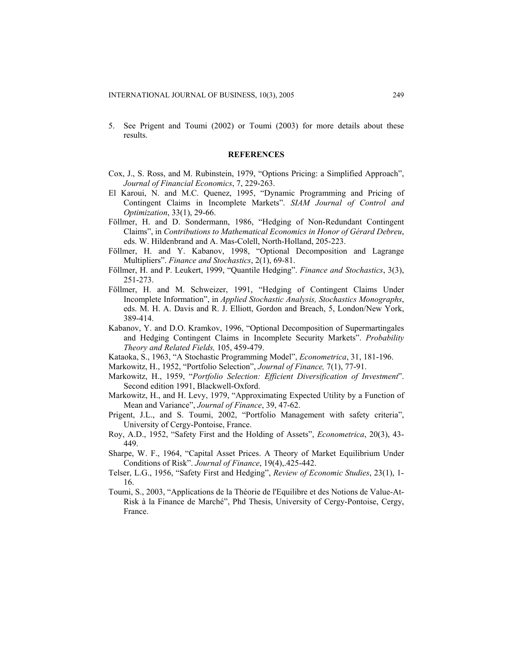5. See Prigent and Toumi (2002) or Toumi (2003) for more details about these results.

#### **REFERENCES**

- Cox, J., S. Ross, and M. Rubinstein, 1979, "Options Pricing: a Simplified Approach", *Journal of Financial Economics*, 7, 229-263.
- El Karoui, N. and M.C. Quenez, 1995, "Dynamic Programming and Pricing of Contingent Claims in Incomplete Markets". *SIAM Journal of Control and Optimization*, 33(1), 29-66.
- Föllmer, H. and D. Sondermann, 1986, "Hedging of Non-Redundant Contingent Claims", in *Contributions to Mathematical Economics in Honor of Gérard Debreu*, eds. W. Hildenbrand and A. Mas-Colell, North-Holland, 205-223.
- Föllmer, H. and Y. Kabanov, 1998, "Optional Decomposition and Lagrange Multipliers". *Finance and Stochastics*, 2(1), 69-81.
- Föllmer, H. and P. Leukert, 1999, "Quantile Hedging". *Finance and Stochastics*, 3(3), 251-273.
- Föllmer, H. and M. Schweizer, 1991, "Hedging of Contingent Claims Under Incomplete Information", in *Applied Stochastic Analysis, Stochastics Monographs*, eds. M. H. A. Davis and R. J. Elliott, Gordon and Breach, 5, London/New York, 389-414.
- Kabanov, Y. and D.O. Kramkov, 1996, "Optional Decomposition of Supermartingales and Hedging Contingent Claims in Incomplete Security Markets". *Probability Theory and Related Fields,* 105, 459-479.
- Kataoka, S., 1963, "A Stochastic Programming Model", *Econometrica*, 31, 181-196.
- Markowitz, H., 1952, "Portfolio Selection", *Journal of Finance,* 7(1), 77-91.
- Markowitz, H., 1959, "*Portfolio Selection: Efficient Diversification of Investment*". Second edition 1991, Blackwell-Oxford.
- Markowitz, H., and H. Levy, 1979, "Approximating Expected Utility by a Function of Mean and Variance", *Journal of Finance*, 39, 47-62.
- Prigent, J.L., and S. Toumi, 2002, "Portfolio Management with safety criteria", University of Cergy-Pontoise, France.
- Roy, A.D., 1952, "Safety First and the Holding of Assets", *Econometrica*, 20(3), 43- 449.
- Sharpe, W. F., 1964, "Capital Asset Prices. A Theory of Market Equilibrium Under Conditions of Risk". *Journal of Finance*, 19(4),.425-442.
- Telser, L.G., 1956, "Safety First and Hedging", *Review of Economic Studies*, 23(1), 1- 16.
- Toumi, S., 2003, "Applications de la Théorie de l'Equilibre et des Notions de Value-At-Risk à la Finance de Marché", Phd Thesis, University of Cergy-Pontoise, Cergy, France.